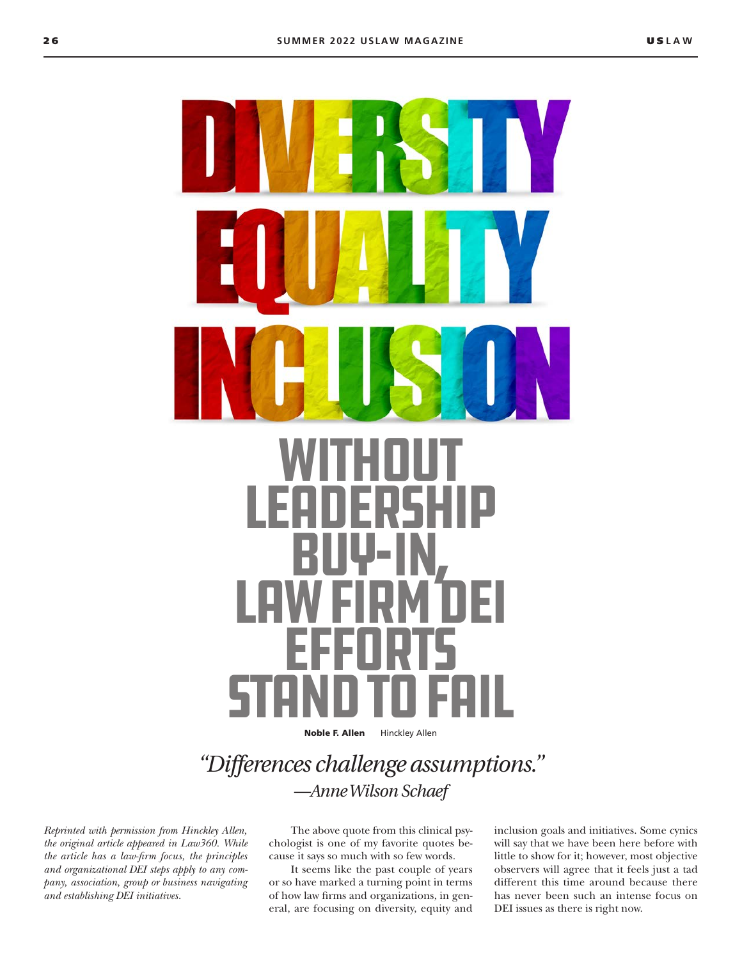

# **LEADERSHIP** Buy-In, Law Firm DEI **EFFORTS STAND TO FAIL**

Noble F. Allen Hinckley Allen

## *"Differences challenge assumptions." —Anne Wilson Schaef*

*Reprinted with permission from Hinckley Allen, the original article appeared in Law360. While the article has a law-firm focus, the principles and organizational DEI steps apply to any company, association, group or business navigating and establishing DEI initiatives.* 

The above quote from this clinical psychologist is one of my favorite quotes because it says so much with so few words.

It seems like the past couple of years or so have marked a turning point in terms of how law firms and organizations, in general, are focusing on diversity, equity and inclusion goals and initiatives. Some cynics will say that we have been here before with little to show for it; however, most objective observers will agree that it feels just a tad different this time around because there has never been such an intense focus on DEI issues as there is right now.